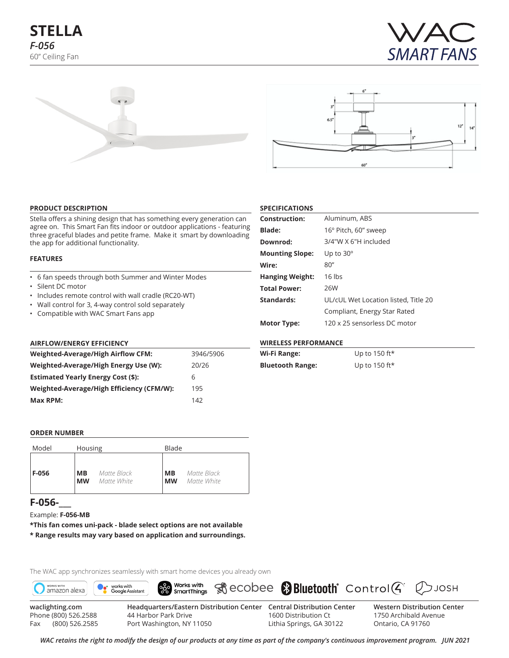





#### **PRODUCT DESCRIPTION**

Stella offers a shining design that has something every generation can agree on. This Smart Fan fits indoor or outdoor applications - featuring three graceful blades and petite frame. Make it smart by downloading the app for additional functionality.

#### **FEATURES**

- 6 fan speeds through both Summer and Winter Modes
- Silent DC motor
- Includes remote control with wall cradle (RC20-WT)
- Wall control for 3, 4-way control sold separately
- Compatible with WAC Smart Fans app

## **AIRFLOW/ENERGY EFFICIENCY**

| Weighted-Average/High Airflow CFM:        | 3946/5906 |
|-------------------------------------------|-----------|
| Weighted-Average/High Energy Use (W):     | 20/26     |
| <b>Estimated Yearly Energy Cost (\$):</b> | h         |
| Weighted-Average/High Efficiency (CFM/W): | 195       |
| Max RPM:                                  | 142       |

| <b>Construction:</b>   | Aluminum, ABS                        |
|------------------------|--------------------------------------|
| <b>Blade:</b>          | 16° Pitch, 60" sweep                 |
| Downrod:               | 3/4"W X 6"H included                 |
| <b>Mounting Slope:</b> | Up to $30^\circ$                     |
| Wire:                  | 80''                                 |
| <b>Hanging Weight:</b> | $16$ lbs                             |
| <b>Total Power:</b>    | 26W                                  |
| Standards:             | UL/cUL Wet Location listed. Title 20 |
|                        | Compliant, Energy Star Rated         |
| Motor Type:            | 120 x 25 sensorless DC motor         |
|                        |                                      |

#### **WIRELESS PERFORMANCE**

**SPECIFICATIONS**

| Wi-Fi Range:            | Up to 150 ft* |
|-------------------------|---------------|
| <b>Bluetooth Range:</b> | Up to 150 ft* |

### **ORDER NUMBER**

| Model | Housing   |             |           | Blade       |  |  |  |  |
|-------|-----------|-------------|-----------|-------------|--|--|--|--|
| F-056 | MВ        | Matte Black | <b>MB</b> | Matte Black |  |  |  |  |
|       | <b>MW</b> | Matte White | <b>MW</b> | Matte White |  |  |  |  |

# **F-056-\_\_\_**

Example: **F-056-MB**

**\*This fan comes uni-pack - blade select options are not available \* Range results may vary based on application and surroundings.**

The WAC app synchronizes seamlessly with smart home devices you already own



*WAC retains the right to modify the design of our products at any time as part of the company's continuous improvement program. JuN 2021* Fax (800) 526.2585 Port Washington, NY 11050 Lithia Springs, GA 30122

1750 Archibald Avenue Ontario, CA 91760